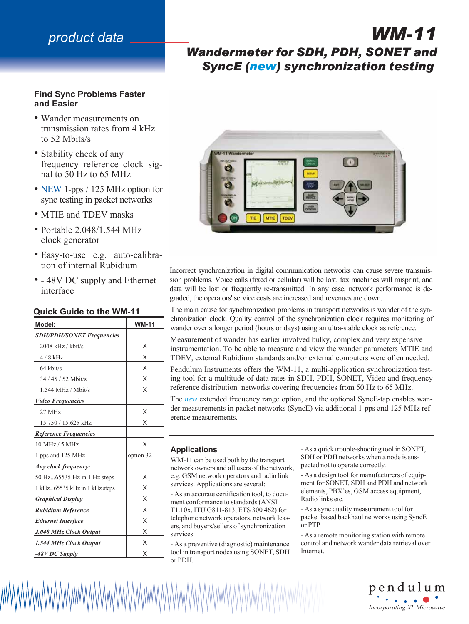# *product data*

## **Find Sync Problems Faster and Easier**

- Wander measurements on transmission rates from 4 kHz to 52 Mbits/s
- Stability check of any frequency reference clock signal to 50 Hz to 65 MHz
- NEW 1-pps / 125 MHz option for sync testing in packet networks
- MTIE and TDEV masks
- Portable 2.048/1.544 MHz clock generator
- Easy-to-use e.g. auto-calibration of internal Rubidium
- - 48V DC supply and Ethernet interface

## **Quick Guide to the WM-11**

| Model:                           | <b>WM-11</b> |
|----------------------------------|--------------|
| <b>SDH/PDH/SONET Frequencies</b> |              |
| 2048 kHz / kbit/s                | Х            |
| $4/8$ kHz                        | X            |
| $64$ kbit/s                      | X            |
| 34 / 45 / 52 Mbit/s              | X            |
| $1.544$ MHz / Mbit/s             | X            |
| <b>Video Frequencies</b>         |              |
| $27$ MHz                         | X            |
| 15.750 / 15.625 kHz              | X            |
| <b>Reference Frequencies</b>     |              |
| 10 MHz / 5 MHz                   | X            |
| 1 pps and 125 MHz                | option 32    |
| Any clock frequency:             |              |
| 50 Hz65535 Hz in 1 Hz steps      | X            |
| 1 kHz65535 kHz in 1 kHz steps    | X            |
| <b>Graphical Display</b>         | X            |
| <b>Rubidium Reference</b>        | X            |
| <b>Ethernet Interface</b>        | X            |
| 2.048 MHz Clock Output           | X            |
| 1.544 MHz Clock Output           | X            |
| $-48V$ DC Supply                 | X            |

# *Wandermeter for SDH, PDH, SONET and SyncE (new) synchronization testing*

*WM-11*



Incorrect synchronization in digital communication networks can cause severe transmission problems. Voice calls (fixed or cellular) will be lost, fax machines will misprint, and data will be lost or frequently re-transmitted. In any case, network performance is degraded, the operators' service costs are increased and revenues are down.

The main cause for synchronization problems in transport networks is wander of the synchronization clock. Quality control of the synchronization clock requires monitoring of wander over a longer period (hours or days) using an ultra-stable clock as reference.

Measurement of wander has earlier involved bulky, complex and very expensive instrumentation. To be able to measure and view the wander parameters MTIE and TDEV, external Rubidium standards and/or external computers were often needed.

Pendulum Instruments offers the WM-11, a multi-application synchronization testing tool for a multitude of data rates in SDH, PDH, SONET, Video and frequency reference distribution networks covering frequencies from 50 Hz to 65 MHz.

The *new* extended frequency range option, and the optional SyncE-tap enables wander measurements in packet networks (SyncE) via additional 1-pps and 125 MHz reference measurements.

#### **Applications**

WM-11 can be used both by the transport network owners and all users of the network, e.g. GSM network operators and radio link services. Applications are several:

- As an accurate certification tool, to document conformance to standards (ANSI T1.10x, ITU G811-813, ETS 300 462) for telephone network operators, network leasers, and buyers/sellers of synchronization services.

- As a preventive (diagnostic) maintenance tool in transport nodes using SONET, SDH or PDH.

- As a quick trouble-shooting tool in SONET, SDH or PDH networks when a node is suspected not to operate correctly.

- As a design tool for manufacturers of equipment for SONET, SDH and PDH and network elements, PBX'es, GSM access equipment, Radio links etc.

- As a sync quality measurement tool for packet based backhaul networks using SyncE or PTP

- As a remote monitoring station with remote control and network wander data retrieval over Internet.

> pendulum *Incorporating XL Microwave*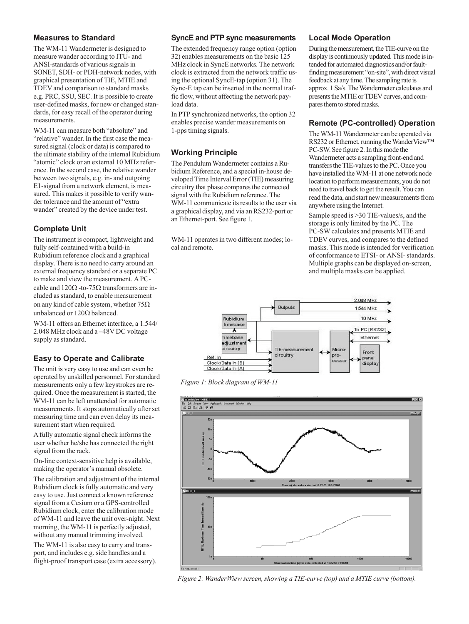### **Measures to Standard**

The WM-11 Wandermeter is designed to measure wander according to ITU- and ANSI-standards of various signals in SONET, SDH- or PDH-network nodes, with graphical presentation of TIE, MTIE and TDEV and comparison to standard masks e.g. PRC, SSU, SEC. It is possible to create user-defined masks, for new or changed standards, for easy recall of the operator during measurements.

WM-11 can measure both "absolute" and "relative" wander. In the first case the measured signal (clock or data) is compared to the ultimate stability of the internal Rubidium "atomic" clock or an external 10 MHz reference. In the second case, the relative wander between two signals, e.g. in- and outgoing E1-signal from a network element, is measured. This makes it possible to verify wander tolerance and the amount of "extra wander" created by the device under test.

## **Complete Unit**

The instrument is compact, lightweight and fully self-contained with a build-in Rubidium reference clock and a graphical display. There is no need to carry around an external frequency standard or a separate PC to make and view the measurement. A PCcable and  $120\Omega$  -to-75 $\Omega$  transformers are included as standard, to enable measurement on any kind of cable system, whether  $75\Omega$ unbalanced or  $120\Omega$  balanced.

WM-11 offers an Ethernet interface, a 1.544/ 2.048 MHz clock and a –48V DC voltage supply as standard.

## **Easy to Operate and Calibrate**

The unit is very easy to use and can even be operated by unskilled personnel. For standard measurements only a few keystrokes are required. Once the measurement is started, the WM-11 can be left unattended for automatic measurements. It stops automatically after set measuring time and can even delay its measurement start when required.

A fully automatic signal check informs the user whether he/she has connected the right signal from the rack.

On-line context-sensitive help is available, making the operator's manual obsolete.

The calibration and adjustment of the internal Rubidium clock is fully automatic and very easy to use. Just connect a known reference signal from a Cesium or a GPS-controlled Rubidium clock, enter the calibration mode of WM-11 and leave the unit over-night. Next morning, the WM-11 is perfectly adjusted, without any manual trimming involved.

The WM-11 is also easy to carry and transport, and includes e.g. side handles and a flight-proof transport case (extra accessory).

### **SyncE and PTP sync measurements**

The extended frequency range option (option 32) enables measurements on the basic 125 MHz clock in SyncE networks. The network clock is extracted from the network traffic using the optional SyncE-tap (option 31). The Sync-E tap can be inserted in the normal traffic flow, without affecting the network payload data.

In PTP synchronized networks, the option 32 enables precise wander measurements on 1-pps timing signals.

## **Working Principle**

The Pendulum Wandermeter contains a Rubidium Reference, and a special in-house developed Time Interval Error (TIE) measuring circuitry that phase compares the connected signal with the Rubidium reference. The WM-11 communicate its results to the user via a graphical display, and via an RS232-port or an Ethernet-port. See figure 1.

WM-11 operates in two different modes; local and remote.

### **Local Mode Operation**

During the measurement, the TIE-curve on the display is continuously updated. This mode is intended for automated diagnostics and/or faultfinding measurement "on-site", with direct visual feedback at any time. The sampling rate is approx. 1 Sa/s. The Wandermeter calculates and presents the MTIE or TDEV curves, and compares them to stored masks.

## **Remote (PC-controlled) Operation**

The WM-11 Wandermeter can be operated via RS232 or Ethernet, running the WanderView™ PC-SW. See figure 2. In this mode the Wandermeter acts a sampling front-end and transfers the TIE-values to the PC. Once you have installed the WM-11 at one network node location to perform measurements, you do not need to travel back to get the result. You can read the data, and start new measurements from anywhere using the Internet.

Sample speed is >30 TIE-values/s, and the storage is only limited by the PC. The PC-SW calculates and presents MTIE and TDEV curves, and compares to the defined masks. This mode is intended for verification of conformance to ETSI- or ANSI- standards. Multiple graphs can be displayed on-screen, and multiple masks can be applied.



*Figure 1: Block diagram of WM-11*



*Figure 2: WanderWiew screen, showing a TIE-curve (top) and a MTIE curve (bottom).*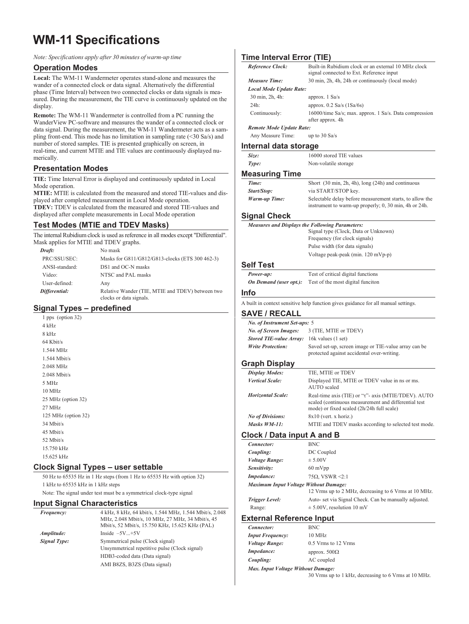# **WM-11 Specifications**

*Note: Specifications apply after 30 minutes of warm-up time*

#### **Operation Modes**

**Local:** The WM-11 Wandermeter operates stand-alone and measures the wander of a connected clock or data signal. Alternatively the differential phase (Time Interval) between two connected clocks or data signals is measured. During the measurement, the TIE curve is continuously updated on the display.

**Remote:** The WM-11 Wandermeter is controlled from a PC running the WanderView PC-software and measures the wander of a connected clock or data signal. During the measurement, the WM-11 Wandermeter acts as a sampling front-end. This mode has no limitation in sampling rate (<30 Sa/s) and number of stored samples. TIE is presented graphically on screen, in real-time, and current MTIE and TIE values are continuously displayed numerically.

### **Presentation Modes**

**TIE:** Time Interval Error is displayed and continuously updated in Local Mode operation.

**MTIE:** MTIE is calculated from the measured and stored TIE-values and displayed after completed measurement in Local Mode operation. **TDEV:** TDEV is calculated from the measured and stored TIE-values and displayed after complete measurements in Local Mode operation

## **Test Modes (MTIE and TDEV Masks)**

The internal Rubidium clock is used as reference in all modes except "Differential". Mask applies for MTIE and TDEV graphs.

| Draft:         | No mask                                                                     |
|----------------|-----------------------------------------------------------------------------|
| PRC/SSU/SEC:   | Masks for G811/G812/G813-clocks (ETS 300 462-3)                             |
| ANSI-standard: | DS1 and OC-N masks                                                          |
| Video:         | NTSC and PAL masks                                                          |
| User-defined:  | Any                                                                         |
| Differential:  | Relative Wander (TIE, MTIE and TDEV) between two<br>clocks or data signals. |

## **Signal Types – predefined**

1 pps (option 32)  $4$  kHz 8 kHz 64 Kbit/s 1.544 MHz 1.544 Mbit/s 2.048 MHz 2.048 Mbit/s 5 MHz 10 MHz 25 MHz (option 32) 27 MHz 125 MHz (option 32) 34 Mbit/s 45 Mbit/s 52 Mbit/s 15.750 kHz 15.625 kHz

#### **Clock Signal Types – user settable**

50 Hz to 65535 Hz in 1 Hz steps (from 1 Hz to 65535 Hz with option 32) 1 kHz to 65535 kHz in 1 kHz steps

Note: The signal under test must be a symmetrical clock-type signal

#### **Input Signal Characteristics**

| <i>Frequency:</i>   | 4 kHz, 8 kHz, 64 kbit/s, 1.544 MHz, 1.544 Mbit/s, 2.048<br>MHz, 2.048 Mbit/s, 10 MHz, 27 MHz, 34 Mbit/s, 45<br>Mbit/s, 52 Mbit/s, 15.750 KHz, 15.625 KHz (PAL) |
|---------------------|----------------------------------------------------------------------------------------------------------------------------------------------------------------|
| Amplitude:          | Inside $-5V+5V$                                                                                                                                                |
| <b>Signal Type:</b> | Symmetrical pulse (Clock signal)<br>Unsymmetrical repetitive pulse (Clock signal)                                                                              |
|                     | HDB3-coded data (Data signal)                                                                                                                                  |
|                     | AMI B8ZS, B3ZS (Data signal)                                                                                                                                   |

## **Time Interval Error (TIE)**

| Reference Clock:                      | Built-in Rubidium clock or an external 10 MHz clock<br>signal connected to Ext. Reference input                                                          |
|---------------------------------------|----------------------------------------------------------------------------------------------------------------------------------------------------------|
| <b>Measure Time:</b>                  | 30 min, 2h, 4h, 24h or continuously (local mode)                                                                                                         |
| <b>Local Mode Update Rate:</b>        |                                                                                                                                                          |
| 30 min, 2h, 4h:                       | approx. 1 Sa/s                                                                                                                                           |
| 24h:                                  | approx. $0.2$ Sa/s $(1$ Sa/6s)                                                                                                                           |
| Continuously:                         | 16000/time Sa/s; max. approx. 1 Sa/s. Data compression<br>after approx. 4h                                                                               |
| <b>Remote Mode Update Rate:</b>       |                                                                                                                                                          |
| Any Measure Time:                     | up to $30$ Sa/s                                                                                                                                          |
| Internal data storage                 |                                                                                                                                                          |
| Size:                                 | 16000 stored TIE values                                                                                                                                  |
| Type:                                 | Non-volatile storage                                                                                                                                     |
| <b>Measuring Time</b>                 |                                                                                                                                                          |
| Time:                                 | Short (30 min, 2h, 4h), long (24h) and continuous                                                                                                        |
| Start/Stop:                           | via START/STOP key.                                                                                                                                      |
| Warm-up Time:                         | Selectable delay before measurement starts, to allow the<br>instrument to warm-up properly; 0, 30 min, 4h or 24h.                                        |
| <b>Signal Check</b>                   |                                                                                                                                                          |
|                                       | <b>Measures and Displays the Following Parameters:</b>                                                                                                   |
|                                       | Signal type (Clock, Data or Unknown)                                                                                                                     |
|                                       | Frequency (for clock signals)                                                                                                                            |
|                                       | Pulse width (for data signals)                                                                                                                           |
|                                       | Voltage peak-peak (min. 120 mVp-p)                                                                                                                       |
| <b>Self Test</b>                      |                                                                                                                                                          |
| Power-up:                             | Test of critical digital functions                                                                                                                       |
| On Demand (user opt.):                | Test of the most digital funciton                                                                                                                        |
| Info                                  |                                                                                                                                                          |
|                                       |                                                                                                                                                          |
|                                       | A built in context sensitive help function gives guidance for all manual settings.                                                                       |
| <b>SAVE / RECALL</b>                  |                                                                                                                                                          |
| No. of Instrument Set-ups: 5          |                                                                                                                                                          |
| No. of Screen Images:                 | 3 (TIE, MTIE or TDEV)                                                                                                                                    |
| <b>Stored TIE-value Array:</b>        | 16k values (1 set)                                                                                                                                       |
| <b>Write Protection:</b>              | Saved set-up, screen image or TIE-value array can be<br>protected against accidental over-writing.                                                       |
| <b>Graph Display</b>                  |                                                                                                                                                          |
| <b>Display Modes:</b>                 | TIE, MTIE or TDEV                                                                                                                                        |
| <b>Vertical Scale:</b>                | Displayed TIE, MTIE or TDEV value in ns or ms.                                                                                                           |
|                                       | <b>AUTO</b> scaled                                                                                                                                       |
| <b>Horizontal Scale:</b>              | Real-time axis (TIE) or "t"- axis (MTIE/TDEV). AUTO<br>scaled (continuous measurement and differential test<br>mode) or fixed scaled (2h/24h full scale) |
| <b>No of Divisions:</b>               | $8x10$ (vert. x horiz.)                                                                                                                                  |
| Masks WM-11:                          | MTIE and TDEV masks according to selected test mode.                                                                                                     |
| <b>Clock / Data input A and B</b>     |                                                                                                                                                          |
|                                       | <b>BNC</b>                                                                                                                                               |
| Connector:                            |                                                                                                                                                          |
| Coupling:<br>Voltage Range:           | DC Coupled<br>$\pm 5.00V$                                                                                                                                |
| Sensitivity:                          | $60 \text{ mVpp}$                                                                                                                                        |
| Impedance:                            | 75 $\Omega$ , VSWR <2:1                                                                                                                                  |
| Maximum Input Voltage Without Damage: |                                                                                                                                                          |
|                                       | 12 Vrms up to 2 MHz, decreasing to 6 Vrms at 10 MHz.                                                                                                     |
| <b>Trigger Level:</b>                 | Auto- set via Signal Check. Can be manually adjusted.                                                                                                    |
| Range:                                | $\pm$ 5.00V, resolution 10 mV                                                                                                                            |
| <b>External Reference Input</b>       |                                                                                                                                                          |
| Connector:                            | <b>BNC</b>                                                                                                                                               |
| <b>Input Frequency:</b>               | 10 MHz                                                                                                                                                   |
| <b>Voltage Range:</b>                 | 0.5 Vrms to 12 Vrms                                                                                                                                      |
| Impedance:                            | approx. $500\Omega$                                                                                                                                      |
| Coupling:                             | AC coupled                                                                                                                                               |
| Max. Input Voltage Without Damage:    |                                                                                                                                                          |
|                                       | 30 Vrms up to 1 kHz, decreasing to 6 Vrms at 10 MHz.                                                                                                     |
|                                       |                                                                                                                                                          |